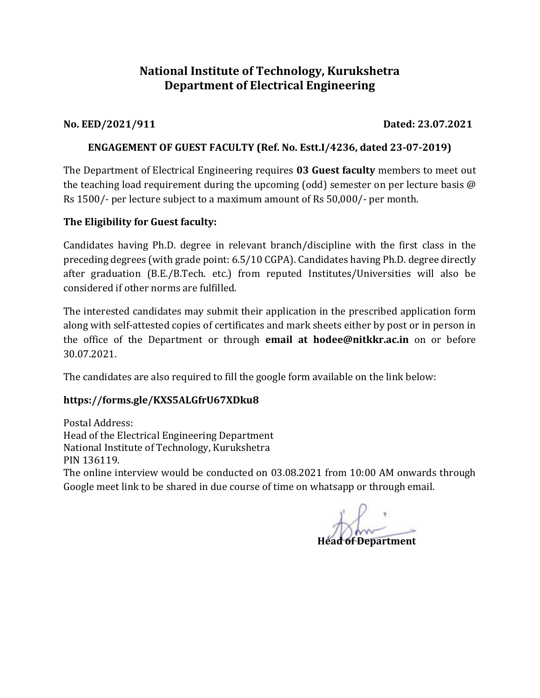## **National Institute of Technology, Kurukshetra Department of Electrical Engineering**

**No. EED/2021/911 Dated: 23.07.2021**

### **ENGAGEMENT OF GUEST FACULTY (Ref. No. Estt.I/4236, dated 23-07-2019)**

The Department of Electrical Engineering requires **03 Guest faculty** members to meet out the teaching load requirement during the upcoming (odd) semester on per lecture basis @ Rs 1500/- per lecture subject to a maximum amount of Rs 50,000/- per month.

### **The Eligibility for Guest faculty:**

Candidates having Ph.D. degree in relevant branch/discipline with the first class in the preceding degrees (with grade point: 6.5/10 CGPA). Candidates having Ph.D. degree directly after graduation (B.E./B.Tech. etc.) from reputed Institutes/Universities will also be considered if other norms are fulfilled.

The interested candidates may submit their application in the prescribed application form along with self-attested copies of certificates and mark sheets either by post or in person in the office of the Department or through **email at hodee@nitkkr.ac.in** on or before 30.07.2021.

The candidates are also required to fill the google form available on the link below:

## **https://forms.gle/KXS5ALGfrU67XDku8**

Postal Address: Head of the Electrical Engineering Department National Institute of Technology, Kurukshetra PIN 136119. The online interview would be conducted on 03.08.2021 from 10:00 AM onwards through Google meet link to be shared in due course of time on whatsapp or through email.

**Head of Department**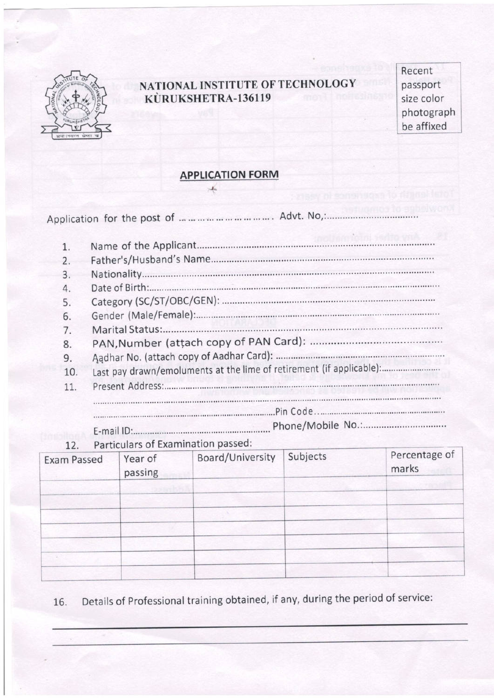

## NATIONAL INSTITUTE OF TECHNOLOGY KÙRUKSHETRA-136119

Recent passport size color photograph be affixed

# **APPLICATION FORM**

| 1.             |                                                                      |
|----------------|----------------------------------------------------------------------|
| 2.             |                                                                      |
| 3.             |                                                                      |
| $\overline{4}$ |                                                                      |
| 5.             |                                                                      |
| 6.             |                                                                      |
| 7.             |                                                                      |
| 8.             |                                                                      |
| 9.             |                                                                      |
| 10.            | Last pay drawn/emoluments at the lime of retirement (if applicable): |
| 11.            |                                                                      |
|                |                                                                      |
|                |                                                                      |
|                | E-mail ID: Frail ID: E-mail ID: Phone/Mobile No.                     |

Particulars of Examination passed:  $12$ 

| <b>Exam Passed</b> | Year of<br>passing | Board/University | Subjects | Percentage of<br>marks |
|--------------------|--------------------|------------------|----------|------------------------|
|                    |                    |                  |          |                        |
|                    |                    |                  |          |                        |
|                    |                    |                  |          |                        |
|                    |                    |                  |          |                        |
|                    |                    |                  |          |                        |
|                    |                    |                  |          |                        |
|                    |                    |                  |          |                        |

Details of Professional training obtained, if any, during the period of service: 16.